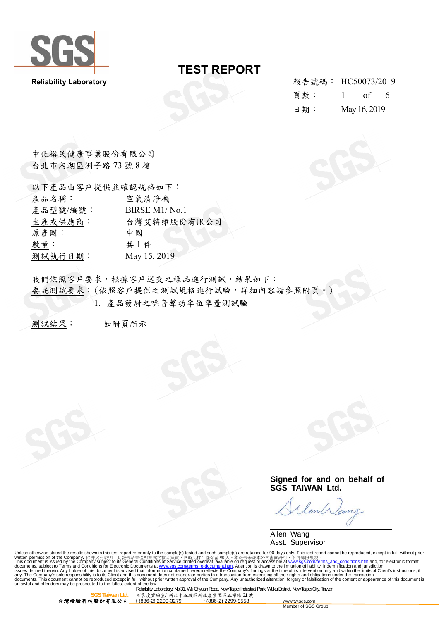

Reliability Laboratory 報告號碼: HC50073/2019 頁數: 1 of 6 日期: May 16, 2019

中化裕民健康事業股份有限公司 台北市內湖區洲子路 73 號 8 樓

| 以下產品由客戶提供並確認規格如下: |                                        |  |  |
|-------------------|----------------------------------------|--|--|
| 產品名稱:             | 空氣清淨機                                  |  |  |
| 產品型號/編號:          | BIRSE M <sub>1</sub> /N <sub>o.1</sub> |  |  |
| 生產或供應商:           | 台灣艾特維股份有限公司                            |  |  |
| 原產國:              | 中國                                     |  |  |
| 數量:               | 共1件                                    |  |  |
| 測試執行日期:           | May 15, 2019                           |  |  |

我們依照客戶要求,根據客戶送交之樣品進行測試,結果如下: 委託測試要求: (依照客戶提供之測試規格進行試驗,詳細內容請參照附頁。) 1. 產品發射之噪音聲功率位準量測試驗

測試結果: 一如附頁所示一

**Signed for and on behalf of SGS TAIWAN Ltd.** 

lent

 Allen Wang Asst. Supervisor

Unless otherwise stated the results shown in this test report refer only to the sample(s) tested and such sample(s) are retained for 90 days only. This test report cannot be reproduced, except in full, without prior writt

台灣檢驗科技股份有限公司

**Reliability Laboratory/ No.31, Wu Chyuan Road, New Taipei Industrial Park, Wuku District, New Taipei City, Taiwan Itd<br>
<b>Reliability Laboratory/ No.31, Wu Chyuan Road, New Taipei Industrial Park, Wuku District, New Taipei 可靠度實驗室/ 新北市五股區新北產業園區五權路 31 號**<br><mark>1 (886-2) 2299-3279 f (886-2) 2299-9558</mark>

www.tw.sgs.com<br>Member of SGS Group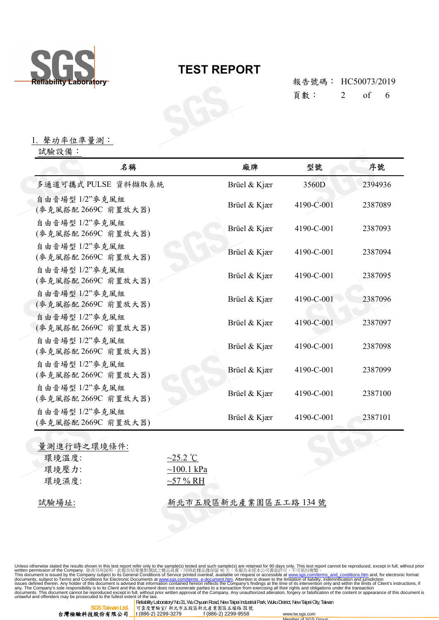

頁數: 2 of 6

1. 聲功率位準量測:

試驗設備:

| 名稱                                    | 廠牌           | 型號         | 序號      |
|---------------------------------------|--------------|------------|---------|
| 多通道可攜式 PULSE 資料擷取系統                   | Brüel & Kjær | 3560D      | 2394936 |
| 自由音場型 1/2"麥克風組<br>(麥克風搭配 2669C 前置放大器) | Brüel & Kjær | 4190-C-001 | 2387089 |
| 自由音場型 1/2"麥克風組<br>(麥克風搭配 2669C 前置放大器) | Brüel & Kjær | 4190-C-001 | 2387093 |
| 自由音場型 1/2"麥克風組<br>(麥克風搭配 2669C 前置放大器) | Brüel & Kjær | 4190-C-001 | 2387094 |
| 自由音場型 1/2"麥克風組<br>(麥克風搭配 2669C 前置放大器) | Brüel & Kjær | 4190-C-001 | 2387095 |
| 自由音場型 1/2"麥克風組<br>(麥克風搭配 2669C 前置放大器) | Brüel & Kjær | 4190-C-001 | 2387096 |
| 自由音場型 1/2"麥克風組<br>(麥克風搭配 2669C 前置放大器) | Brüel & Kjær | 4190-C-001 | 2387097 |
| 自由音場型 1/2"麥克風組<br>(麥克風搭配 2669C 前置放大器) | Brüel & Kjær | 4190-C-001 | 2387098 |
| 自由音場型 1/2"麥克風組<br>(麥克風搭配 2669C 前置放大器) | Brüel & Kjær | 4190-C-001 | 2387099 |
| 自由音場型 1/2"麥克風組<br>(麥克風搭配 2669C 前置放大器) | Brüel & Kjær | 4190-C-001 | 2387100 |
| 自由音場型 1/2"麥克風組<br>(麥克風搭配 2669C 前置放大器) | Brüel & Kjær | 4190-C-001 | 2387101 |

量測進行時之環境條件: 環境溫度: ~25.2 ℃ 環境壓力: ~100.1 kPa 環境濕度: ~57 % RH

試驗場址: 财政 新北市五股區新北產業園區五工路 134號

Unless otherwise stated the results shown in this test report refer only to the sample(s) tested and such sample(s) are retained for 90 days only. This test report cannot be reproduced, except in full, without prior<br>writt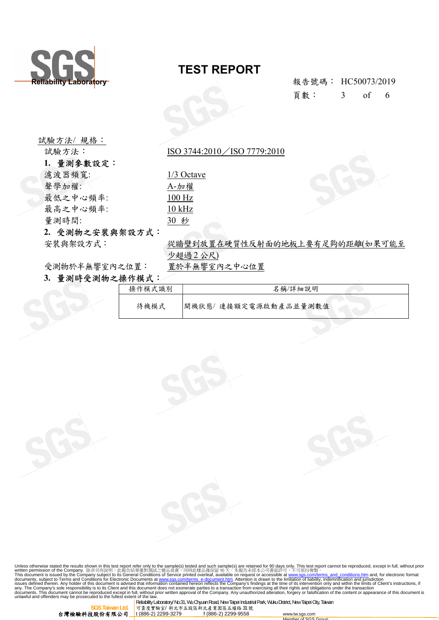

試驗方法/ 規格:

1. 量測參數設定:

### TEST REPORT

頁數: 3 of 6

試驗方法: ISO 3744:2010 / ISO 7779:2010

濾波器頻寬: 1/3 Octave 聲學加權: A-加權 最低之中心頻率: 100 Hz 最高之中心頻率: 10 kHz 量測時間: 30 秒

#### 2. 受測物之安裝與架設方式:

安裝與架設方式: " 從牆壁到放置在硬質性反射面的地板上要有足夠的距離(如果可能至 少超過2 公尺)

受測物於半無響室內之位置: 置於半無響室內之中心位置

### 3. 量測時受測物之操作模式:

| 操作模式識別 | 名稱/詳細說明              |
|--------|----------------------|
| 待機模式   | 開機狀態/連接額定電源啟動產品並量測數值 |

Unless otherwise stated the results shown in this test report refer only to the sample(s) tested and such sample(s) are retained for 90 days only. This test report cannot be reproduced, except in full, without prior writt



Reliability Laboratory/ No.31, Wu Chyuan Road, New Taipei Industrial Park, Wuku District, New Taipei City, Taiwan 可靠度實驗室/ 新北市五股區新北產業園區五權路 31 號<br><u>t (886-2) 2299-3279 f (886-2) 2299-95</u>58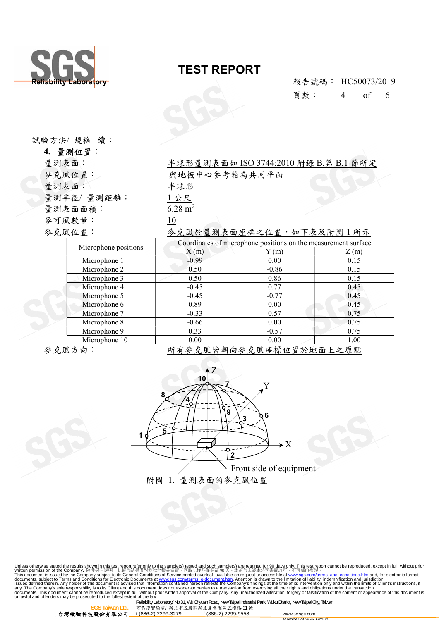

Reliability Laborat<mark>ory</mark><br>Reliability Laborat<mark>ory</mark> 頁數: 4 of 6

| 試驗方法/ 規格 --續: |  |
|---------------|--|

|       | 4. 量測位置:             |                                                                |                         |      |  |
|-------|----------------------|----------------------------------------------------------------|-------------------------|------|--|
| 量測表面: |                      | 半球形量測表面如 ISO 3744:2010 附錄 B,第 B.1 節所定                          |                         |      |  |
|       | 麥克風位置:               | 與地板中心參考箱為共同平面                                                  |                         |      |  |
| 量測表面: |                      | 半球形                                                            |                         |      |  |
|       | 量測半徑/量測距離:           | 1公尺                                                            |                         |      |  |
|       | 量測表面面積:              | $6.28 \text{ m}^2$                                             |                         |      |  |
|       | 麥可風數量:               | 10                                                             |                         |      |  |
|       | 麥克風位置:               |                                                                | 麥克風於量測表面座標之位置,如下表及附圖1所示 |      |  |
|       |                      | Coordinates of microphone positions on the measurement surface |                         |      |  |
|       | Microphone positions | X(m)                                                           | Y(m)                    | Z(m) |  |
|       | Microphone 1         | $-0.99$                                                        | 0.00                    | 0.15 |  |
|       | Microphone 2         | 0.50                                                           | $-0.86$                 | 0.15 |  |
|       | Microphone 3         | 0.50                                                           | 0.86                    | 0.15 |  |
|       | Microphone 4         | $-0.45$                                                        | 0.77                    | 0.45 |  |
|       | Microphone 5         | $-0.45$                                                        | $-0.77$                 | 0.45 |  |
|       | Microphone 6         | 0.89                                                           | 0.00                    | 0.45 |  |
|       | Microphone 7         | $-0.33$                                                        | 0.57                    | 0.75 |  |
|       | Microphone 8         | $-0.66$                                                        | 0.00                    | 0.75 |  |
|       | Microphone 9         | 0.33                                                           | $-0.57$                 | 0.75 |  |

參克風方向: わけの 所有參克風皆朝向參克風座標位置於地面上之原點



Microphone 10 0.00 0.00 0.00 1.00

Unless otherwise stated the results shown in this test report refer only to the sample(s) tested and such sample(s) are retained for 90 days only. This test report cannot be reproduced, except in full, without prior<br>writt



<mark>SGS Taiwan Ltd. </mark>可靠度實驗室/ 新北市五股區新北產業園區五權路 31 號<br>台**灣檢驗科技股份有限公司 <u>t (886-2) 2299-3279 f (886-2) 2299-9558 www.tw.sgs.com</u>** 

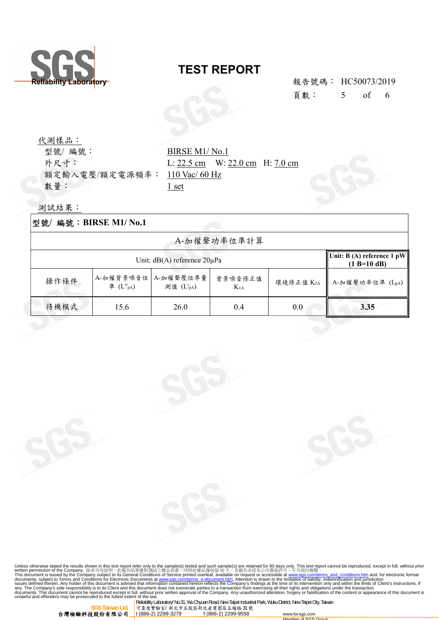

頁數: 5 of 6

代測樣品: 型號/編號: BIRSE M1/ No.1 額定輸入電壓/額定電源頻率: 110 Vac/ 60 Hz 數量: 1 set

外尺寸: L: 22.5 cm W: 22.0 cm H: 7.0 cm

測試結果:

| 編號: BIRSE M1/No.1<br> 型號/   |                             |                        |                     |                                             |                   |
|-----------------------------|-----------------------------|------------------------|---------------------|---------------------------------------------|-------------------|
| A-加權聲功率位準計算                 |                             |                        |                     |                                             |                   |
| Unit: dB(A) reference 20µPa |                             |                        |                     | Unit: B (A) reference 1 pW<br>$(1 B=10 dB)$ |                   |
| 操作條件                        | A-加權背景噪音位<br>準 $(L''_{pA})$ | A-加權聲壓位準量<br>測值 (L'pA) | 背景噪音修正值<br>$K_{1A}$ | 環境修正值 K2A                                   | ■ A-加權聲功率位準 (LpA) |
| 待機模式                        | 15.6                        | 26.0                   | 0.4                 | 0.0                                         | 3.35              |

Unless otherwise stated the results shown in this test report refer only to the sample(s) tested and such sample(s) are retained for 90 days only. This test report cannot be reproduced, except in full, without prior trief



 **SGS Taiwan Ltd.** 可靠度實驗室/ 新北市五股區新北產業園區五權路 31 號

Member of SGS Group